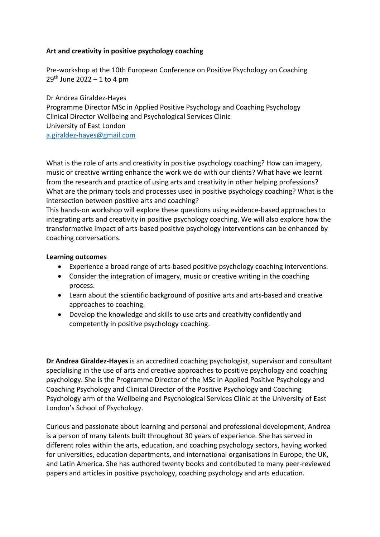## **Art and creativity in positive psychology coaching**

Pre-workshop at the 10th European Conference on Positive Psychology on Coaching  $29<sup>th</sup>$  June 2022 – 1 to 4 pm

Dr Andrea Giraldez-Hayes Programme Director MSc in Applied Positive Psychology and Coaching Psychology Clinical Director Wellbeing and Psychological Services Clinic University of East London a.giraldez-hayes@gmail.com

What is the role of arts and creativity in positive psychology coaching? How can imagery, music or creative writing enhance the work we do with our clients? What have we learnt from the research and practice of using arts and creativity in other helping professions? What are the primary tools and processes used in positive psychology coaching? What is the intersection between positive arts and coaching?

This hands-on workshop will explore these questions using evidence-based approaches to integrating arts and creativity in positive psychology coaching. We will also explore how the transformative impact of arts-based positive psychology interventions can be enhanced by coaching conversations.

## **Learning outcomes**

- Experience a broad range of arts-based positive psychology coaching interventions.
- Consider the integration of imagery, music or creative writing in the coaching process.
- Learn about the scientific background of positive arts and arts-based and creative approaches to coaching.
- Develop the knowledge and skills to use arts and creativity confidently and competently in positive psychology coaching.

**Dr Andrea Giraldez-Hayes** is an accredited coaching psychologist, supervisor and consultant specialising in the use of arts and creative approaches to positive psychology and coaching psychology. She is the Programme Director of the MSc in Applied Positive Psychology and Coaching Psychology and Clinical Director of the Positive Psychology and Coaching Psychology arm of the Wellbeing and Psychological Services Clinic at the University of East London's School of Psychology.

Curious and passionate about learning and personal and professional development, Andrea is a person of many talents built throughout 30 years of experience. She has served in different roles within the arts, education, and coaching psychology sectors, having worked for universities, education departments, and international organisations in Europe, the UK, and Latin America. She has authored twenty books and contributed to many peer-reviewed papers and articles in positive psychology, coaching psychology and arts education.